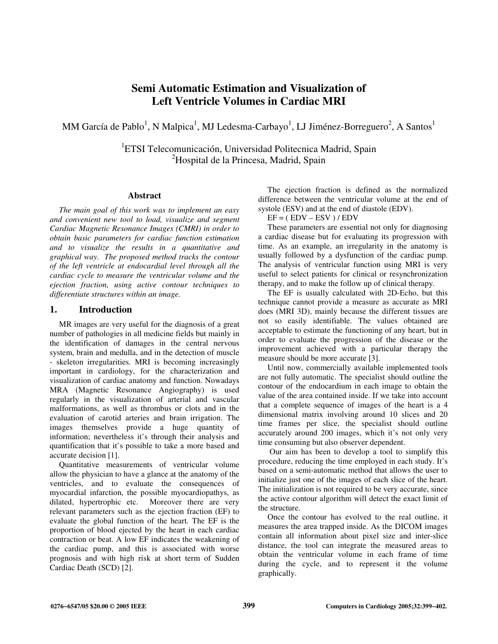# **Semi Automatic Estimation and Visualization of Left Ventricle Volumes in Cardiac MRI**

MM García de Pablo<sup>1</sup>, N Malpica<sup>1</sup>, MJ Ledesma-Carbayo<sup>1</sup>, LJ Jiménez-Borreguero<sup>2</sup>, A Santos<sup>1</sup>

<sup>1</sup>ETSI Telecomunicación, Universidad Politecnica Madrid, Spain <sup>2</sup>Hospital de la Princesa, Madrid, Spain

#### **Abstract**

*The main goal of this work was to implement an easy and convenient new tool to load, visualize and segment Cardiac Magnetic Resonance Images (CMRI) in order to obtain basic parameters for cardiac function estimation and to visualize the results in a quantitative and graphical way. The proposed method tracks the contour of the left ventricle at endocardial level through all the cardiac cycle to measure the ventricular volume and the ejection fraction, using active contour techniques to differentiate structures within an image.* 

## **1. Introduction**

MR images are very useful for the diagnosis of a great number of pathologies in all medicine fields but mainly in the identification of damages in the central nervous system, brain and medulla, and in the detection of muscle - skeleton irregularities. MRI is becoming increasingly important in cardiology, for the characterization and visualization of cardiac anatomy and function. Nowadays MRA (Magnetic Resonance Angiography) is used regularly in the visualization of arterial and vascular malformations, as well as thrombus or clots and in the evaluation of carotid arteries and brain irrigation. The images themselves provide a huge quantity of information; nevertheless it's through their analysis and quantification that it's possible to take a more based and accurate decision [1].

Quantitative measurements of ventricular volume allow the physician to have a glance at the anatomy of the ventricles, and to evaluate the consequences of myocardial infarction, the possible myocardiopathys, as dilated, hypertrophic etc. Moreover there are very relevant parameters such as the ejection fraction (EF) to evaluate the global function of the heart. The EF is the proportion of blood ejected by the heart in each cardiac contraction or beat. A low EF indicates the weakening of the cardiac pump, and this is associated with worse prognosis and with high risk at short term of Sudden Cardiac Death (SCD) [2].

The ejection fraction is defined as the normalized difference between the ventricular volume at the end of systole (ESV) and at the end of diastole (EDV).

 $EF = (EDV - ESV)/EDV$ 

These parameters are essential not only for diagnosing a cardiac disease but for evaluating its progression with time. As an example, an irregularity in the anatomy is usually followed by a dysfunction of the cardiac pump. The analysis of ventricular function using MRI is very useful to select patients for clinical or resynchronization therapy, and to make the follow up of clinical therapy.

The EF is usually calculated with 2D-Echo, but this technique cannot provide a measure as accurate as MRI does (MRI 3D), mainly because the different tissues are not so easily identifiable. The values obtained are acceptable to estimate the functioning of any heart, but in order to evaluate the progression of the disease or the improvement achieved with a particular therapy the measure should be more accurate [3].

Until now, commercially available implemented tools are not fully automatic. The specialist should outline the contour of the endocardium in each image to obtain the value of the area contained inside. If we take into account that a complete sequence of images of the heart is a 4 dimensional matrix involving around 10 slices and 20 time frames per slice, the specialist should outline accurately around 200 images, which it's not only very time consuming but also observer dependent.

 Our aim has been to develop a tool to simplify this procedure, reducing the time employed in each study. It's based on a semi-automatic method that allows the user to initialize just one of the images of each slice of the heart. The initialization is not required to be very accurate, since the active contour algorithm will detect the exact limit of the structure.

Once the contour has evolved to the real outline, it measures the area trapped inside. As the DICOM images contain all information about pixel size and inter-slice distance, the tool can integrate the measured areas to obtain the ventricular volume in each frame of time during the cycle, and to represent it the volume graphically.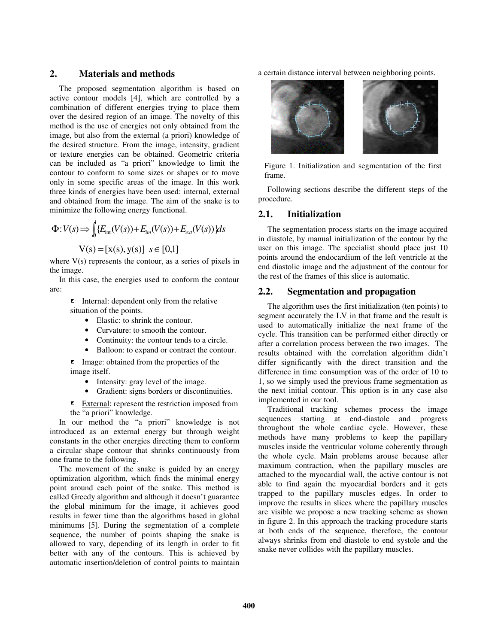## **2. Materials and methods**

The proposed segmentation algorithm is based on active contour models [4], which are controlled by a combination of different energies trying to place them over the desired region of an image. The novelty of this method is the use of energies not only obtained from the image, but also from the external (a priori) knowledge of the desired structure. From the image, intensity, gradient or texture energies can be obtained. Geometric criteria can be included as "a priori" knowledge to limit the contour to conform to some sizes or shapes or to move only in some specific areas of the image. In this work three kinds of energies have been used: internal, external and obtained from the image. The aim of the snake is to minimize the following energy functional.

$$
\Phi: V(s) \Longrightarrow \int_{s}^{s} \{E_{int}(V(s)) + E_{int}(V(s)) + E_{ext}(V(s))\} ds
$$

$$
V(s) = [x(s), y(s)] \quad s \in [0,1]
$$

where  $V(s)$  represents the contour, as a series of pixels in the image.

In this case, the energies used to conform the contour are:

- Internal: dependent only from the relative situation of the points.
	- Elastic: to shrink the contour.
	- Curvature: to smooth the contour.
	- Continuity: the contour tends to a circle.
	- Balloon: to expand or contract the contour.

**Image:** obtained from the properties of the image itself.

- Intensity: gray level of the image.
- Gradient: signs borders or discontinuities.

External: represent the restriction imposed from the "a priori" knowledge.

In our method the "a priori" knowledge is not introduced as an external energy but through weight constants in the other energies directing them to conform a circular shape contour that shrinks continuously from one frame to the following.

The movement of the snake is guided by an energy optimization algorithm, which finds the minimal energy point around each point of the snake. This method is called Greedy algorithm and although it doesn't guarantee the global minimum for the image, it achieves good results in fewer time than the algorithms based in global minimums [5]. During the segmentation of a complete sequence, the number of points shaping the snake is allowed to vary, depending of its length in order to fit better with any of the contours. This is achieved by automatic insertion/deletion of control points to maintain

a certain distance interval between neighboring points.



Figure 1. Initialization and segmentation of the first frame.

Following sections describe the different steps of the procedure.

## **2.1. Initialization**

The segmentation process starts on the image acquired in diastole, by manual initialization of the contour by the user on this image. The specialist should place just 10 points around the endocardium of the left ventricle at the end diastolic image and the adjustment of the contour for the rest of the frames of this slice is automatic.

## **2.2. Segmentation and propagation**

The algorithm uses the first initialization (ten points) to segment accurately the LV in that frame and the result is used to automatically initialize the next frame of the cycle. This transition can be performed either directly or after a correlation process between the two images. The results obtained with the correlation algorithm didn't differ significantly with the direct transition and the difference in time consumption was of the order of 10 to 1, so we simply used the previous frame segmentation as the next initial contour. This option is in any case also implemented in our tool.

Traditional tracking schemes process the image sequences starting at end-diastole and progress throughout the whole cardiac cycle. However, these methods have many problems to keep the papillary muscles inside the ventricular volume coherently through the whole cycle. Main problems arouse because after maximum contraction, when the papillary muscles are attached to the myocardial wall, the active contour is not able to find again the myocardial borders and it gets trapped to the papillary muscles edges. In order to improve the results in slices where the papillary muscles are visible we propose a new tracking scheme as shown in figure 2. In this approach the tracking procedure starts at both ends of the sequence, therefore, the contour always shrinks from end diastole to end systole and the snake never collides with the papillary muscles.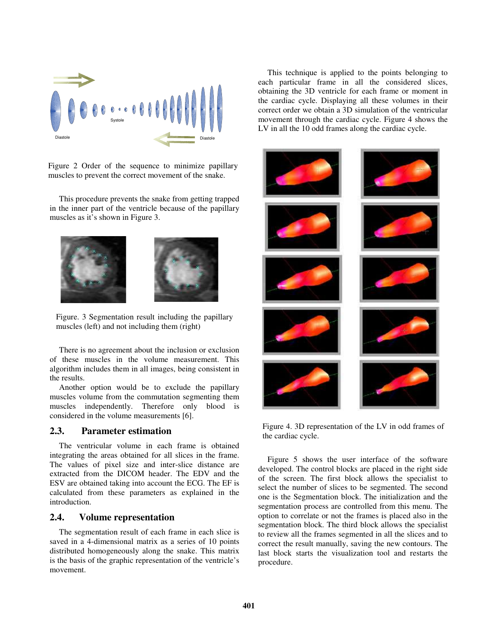

Figure 2 Order of the sequence to minimize papillary muscles to prevent the correct movement of the snake.

This procedure prevents the snake from getting trapped in the inner part of the ventricle because of the papillary muscles as it's shown in Figure 3.





Figure. 3 Segmentation result including the papillary muscles (left) and not including them (right)

There is no agreement about the inclusion or exclusion of these muscles in the volume measurement. This algorithm includes them in all images, being consistent in the results.

Another option would be to exclude the papillary muscles volume from the commutation segmenting them muscles independently. Therefore only blood is considered in the volume measurements [6].

## **2.3. Parameter estimation**

The ventricular volume in each frame is obtained integrating the areas obtained for all slices in the frame. The values of pixel size and inter-slice distance are extracted from the DICOM header. The EDV and the ESV are obtained taking into account the ECG. The EF is calculated from these parameters as explained in the introduction.

#### **2.4. Volume representation**

The segmentation result of each frame in each slice is saved in a 4-dimensional matrix as a series of 10 points distributed homogeneously along the snake. This matrix is the basis of the graphic representation of the ventricle's movement.

This technique is applied to the points belonging to each particular frame in all the considered slices, obtaining the 3D ventricle for each frame or moment in the cardiac cycle. Displaying all these volumes in their correct order we obtain a 3D simulation of the ventricular movement through the cardiac cycle. Figure 4 shows the LV in all the 10 odd frames along the cardiac cycle.



Figure 4. 3D representation of the LV in odd frames of the cardiac cycle.

Figure 5 shows the user interface of the software developed. The control blocks are placed in the right side of the screen. The first block allows the specialist to select the number of slices to be segmented. The second one is the Segmentation block. The initialization and the segmentation process are controlled from this menu. The option to correlate or not the frames is placed also in the segmentation block. The third block allows the specialist to review all the frames segmented in all the slices and to correct the result manually, saving the new contours. The last block starts the visualization tool and restarts the procedure.